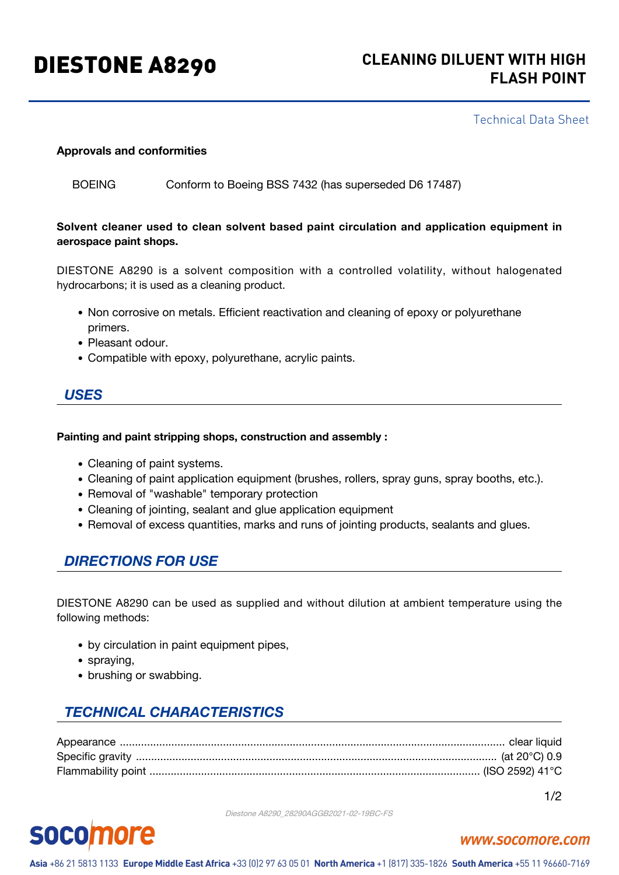# DIESTONE A8290 **CLEANING DILUENT WITH HIGH FLASH POINT**

#### Technical Data Sheet

#### **Approvals and conformities**

BOEING Conform to Boeing BSS 7432 (has superseded D6 17487)

#### **Solvent cleaner used to clean solvent based paint circulation and application equipment in aerospace paint shops.**

DIESTONE A8290 is a solvent composition with a controlled volatility, without halogenated hydrocarbons; it is used as a cleaning product.

- Non corrosive on metals. Efficient reactivation and cleaning of epoxy or polyurethane primers.
- Pleasant odour.
- Compatible with epoxy, polyurethane, acrylic paints.

#### *USES*

#### **Painting and paint stripping shops, construction and assembly :**

- Cleaning of paint systems.
- Cleaning of paint application equipment (brushes, rollers, spray guns, spray booths, etc.).
- Removal of "washable" temporary protection
- Cleaning of jointing, sealant and glue application equipment
- Removal of excess quantities, marks and runs of jointing products, sealants and glues.

#### *DIRECTIONS FOR USE*

DIESTONE A8290 can be used as supplied and without dilution at ambient temperature using the following methods:

- by circulation in paint equipment pipes,
- spraying,
- brushing or swabbing.

## *TECHNICAL CHARACTERISTICS*

1/2

#### Diestone A8290\_28290AGGB2021-02-19BC-FS

# **socomore**

#### www.socomore.com

Asia +86 21 5813 1133 Europe Middle East Africa +33 (0)2 97 63 05 01 North America +1 (817) 335-1826 South America +55 11 96660-7169